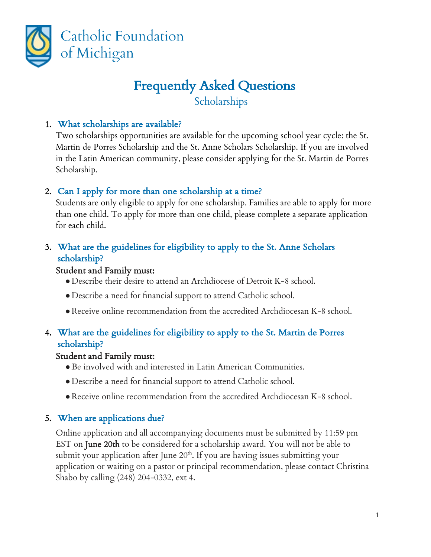

# Frequently Asked Questions Scholarships

## 1. What scholarships are available?

Two scholarships opportunities are available for the upcoming school year cycle: the St. Martin de Porres Scholarship and the St. Anne Scholars Scholarship. If you are involved in the Latin American community, please consider applying for the St. Martin de Porres Scholarship.

#### 2. Can I apply for more than one scholarship at a time?

Students are only eligible to apply for one scholarship. Families are able to apply for more than one child. To apply for more than one child, please complete a separate application for each child.

# 3. What are the guidelines for eligibility to apply to the St. Anne Scholars scholarship?

#### Student and Family must:

- Describe their desire to attend an Archdiocese of Detroit K-8 school.
- Describe a need for financial support to attend Catholic school.
- ●Receive online recommendation from the accredited Archdiocesan K-8 school.

# 4. What are the guidelines for eligibility to apply to the St. Martin de Porres scholarship?

#### Student and Family must:

- ●Be involved with and interested in Latin American Communities.
- Describe a need for financial support to attend Catholic school.
- ●Receive online recommendation from the accredited Archdiocesan K-8 school.

# 5. When are applications due?

Online application and all accompanying documents must be submitted by 11:59 pm EST on June 20th to be considered for a scholarship award. You will not be able to submit your application after June  $20<sup>th</sup>$ . If you are having issues submitting your application or waiting on a pastor or principal recommendation, please contact Christina Shabo by calling (248) 204-0332, ext 4.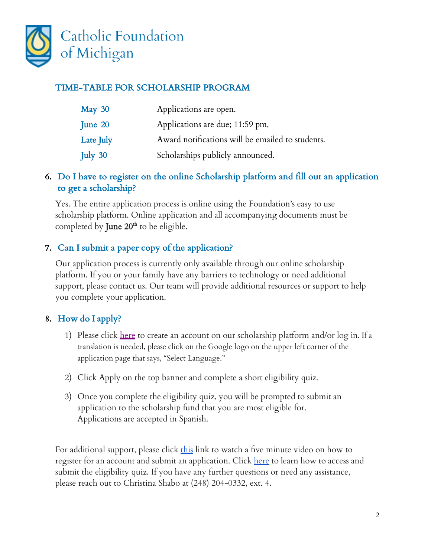

## TIME-TABLE FOR SCHOLARSHIP PROGRAM

| May $30$  | Applications are open.                           |
|-----------|--------------------------------------------------|
| June $20$ | Applications are due; 11:59 pm.                  |
| Late July | Award notifications will be emailed to students. |
| July 30   | Scholarships publicly announced.                 |

# 6. Do I have to register on the online Scholarship platform and fill out an application to get a scholarship?

Yes. The entire application process is online using the Foundation's easy to use scholarship platform. Online application and all accompanying documents must be completed by **June 20<sup>th</sup>** to be eligible.

# 7. Can I submit a paper copy of the application?

Our application process is currently only available through our online scholarship platform. If you or your family have any barriers to technology or need additional support, please contact us. Our team will provide additional resources or support to help you complete your application.

# 8. How do I apply?

- 1) Please click <u>here</u> to create an account on our scholarship platform and/or log in. If a translation is needed, please click on the Google logo on the upper left corner of the application page that says, "Select Language."
- 2) Click Apply on the top banner and complete a short eligibility quiz.
- 3) Once you complete the eligibility quiz, you will be prompted to submit an application to the scholarship fund that you are most eligible for. Applications are accepted in Spanish.

For additional support, please click [this](https://linkprotect.cudasvc.com/url?a=https%3a%2f%2fsupport.foundant.com%2fhc%2fen-us%2farticles%2f4520629369367&c=E,1,G5zP0PBpTQO_u9gjTBK2ARay01mY_U6WaxPg9gDLQ9ddnwTb2KkTXK7nAHwPISe1jG14WaIWemwU2k4RQrlspQ7ytSh_amKo6cgVQexqt3hk2R57ZY8t&typo=1) link to watch a five minute video on how to register for an account and submit an application. Click [here](https://linkprotect.cudasvc.com/url?a=https%3a%2f%2fsupport.foundant.com%2fhc%2fen-us%2farticles%2f4520338873111&c=E,1,ehxKIbs8pFWA8vBHbmWFwDvRVIQC9s5F47LFdSp2dEXjikEuvbkktkm0Ipq4LW5heWdnpYBN1Kep-gqiuUZKRQIKATJbUOlKIShHg7MATkHOIQ,,&typo=1) to learn how to access and submit the eligibility quiz. If you have any further questions or need any assistance, please reach out to Christina Shabo at (248) 204-0332, ext. 4.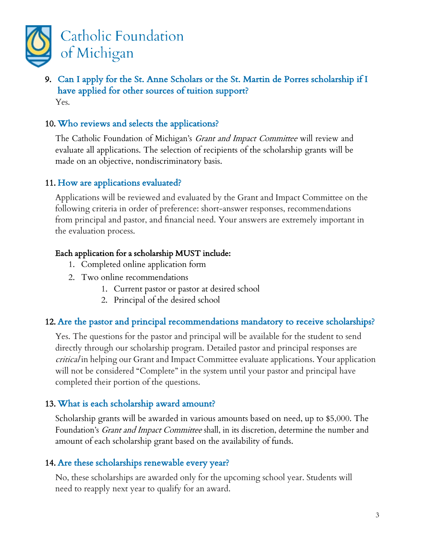

9. Can I apply for the St. Anne Scholars or the St. Martin de Porres scholarship if I have applied for other sources of tuition support? Yes.

#### 10. Who reviews and selects the applications?

The Catholic Foundation of Michigan's *Grant and Impact Committee* will review and evaluate all applications. The selection of recipients of the scholarship grants will be made on an objective, nondiscriminatory basis.

#### 11. How are applications evaluated?

Applications will be reviewed and evaluated by the Grant and Impact Committee on the following criteria in order of preference: short-answer responses, recommendations from principal and pastor, and financial need. Your answers are extremely important in the evaluation process.

#### Each application for a scholarship MUST include:

- 1. Completed online application form
- 2. Two online recommendations
	- 1. Current pastor or pastor at desired school
	- 2. Principal of the desired school

#### 12. Are the pastor and principal recommendations mandatory to receive scholarships?

Yes. The questions for the pastor and principal will be available for the student to send directly through our scholarship program. Detailed pastor and principal responses are critical in helping our Grant and Impact Committee evaluate applications. Your application will not be considered "Complete" in the system until your pastor and principal have completed their portion of the questions.

#### 13. What is each scholarship award amount?

Scholarship grants will be awarded in various amounts based on need, up to \$5,000. The Foundation's *Grant and Impact Committee* shall, in its discretion, determine the number and amount of each scholarship grant based on the availability of funds.

#### 14. Are these scholarships renewable every year?

No, these scholarships are awarded only for the upcoming school year. Students will need to reapply next year to qualify for an award.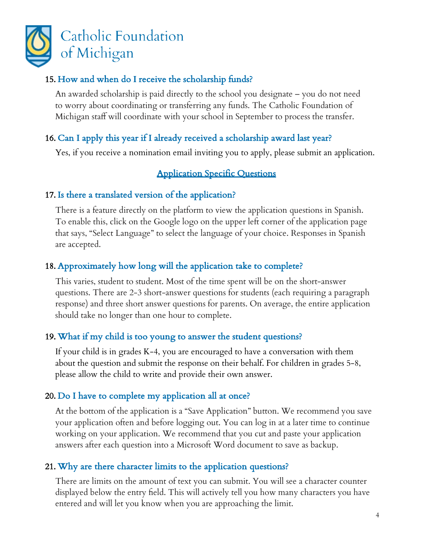

# 15. How and when do I receive the scholarship funds?

An awarded scholarship is paid directly to the school you designate – you do not need to worry about coordinating or transferring any funds. The Catholic Foundation of Michigan staff will coordinate with your school in September to process the transfer.

## 16. Can I apply this year if I already received a scholarship award last year?

Yes, if you receive a nomination email inviting you to apply, please submit an application.

#### Application Specific Questions

#### 17. Is there a translated version of the application?

There is a feature directly on the platform to view the application questions in Spanish. To enable this, click on the Google logo on the upper left corner of the application page that says, "Select Language" to select the language of your choice. Responses in Spanish are accepted.

#### 18. Approximately how long will the application take to complete?

This varies, student to student. Most of the time spent will be on the short-answer questions. There are 2-3 short-answer questions for students (each requiring a paragraph response) and three short answer questions for parents. On average, the entire application should take no longer than one hour to complete.

#### 19. What if my child is too young to answer the student questions?

If your child is in grades K-4, you are encouraged to have a conversation with them about the question and submit the response on their behalf. For children in grades 5-8, please allow the child to write and provide their own answer.

#### 20. Do I have to complete my application all at once?

At the bottom of the application is a "Save Application" button. We recommend you save your application often and before logging out. You can log in at a later time to continue working on your application. We recommend that you cut and paste your application answers after each question into a Microsoft Word document to save as backup.

#### 21. Why are there character limits to the application questions?

There are limits on the amount of text you can submit. You will see a character counter displayed below the entry field. This will actively tell you how many characters you have entered and will let you know when you are approaching the limit.